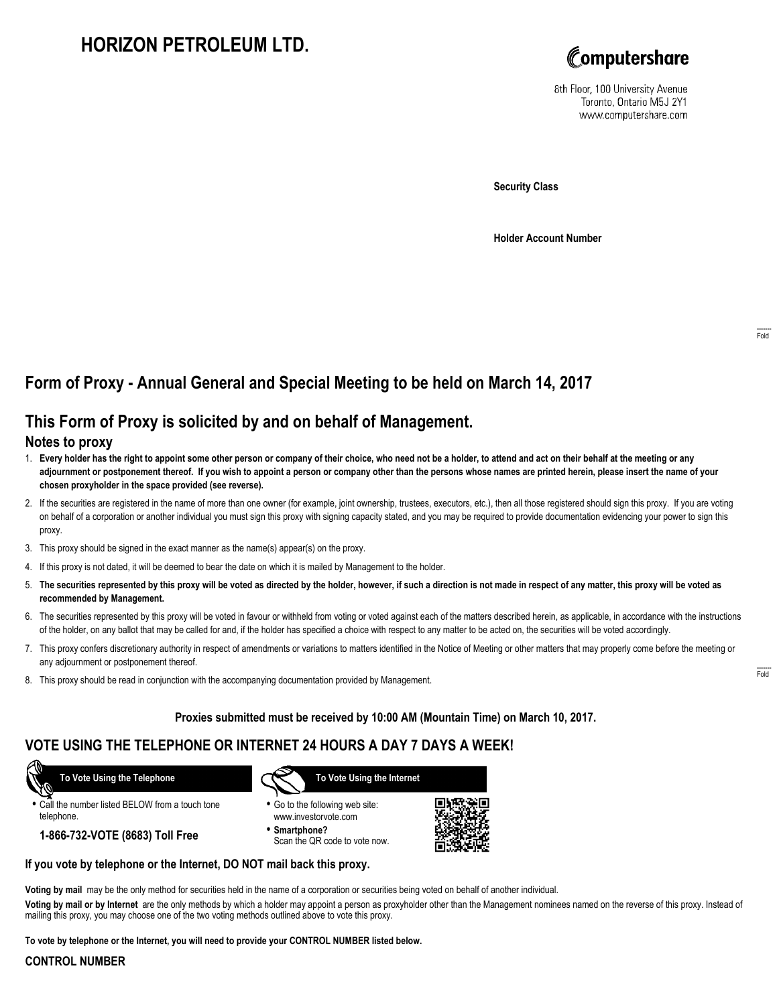# **HORIZON PETROLEUM LTD.**



8th Floor, 100 University Avenue Toronto, Ontario M5J 2Y1 www.computershare.com

**Security Class**

**Holder Account Number**

## **Form of Proxy - Annual General and Special Meeting to be held on March 14, 2017**

## **This Form of Proxy is solicited by and on behalf of Management.**

#### **Notes to proxy**

- 1. **Every holder has the right to appoint some other person or company of their choice, who need not be a holder, to attend and act on their behalf at the meeting or any adjournment or postponement thereof. If you wish to appoint a person or company other than the persons whose names are printed herein, please insert the name of your chosen proxyholder in the space provided (see reverse).**
- 2. If the securities are registered in the name of more than one owner (for example, joint ownership, trustees, executors, etc.), then all those registered should sign this proxy. If you are voting on behalf of a corporation or another individual you must sign this proxy with signing capacity stated, and you may be required to provide documentation evidencing your power to sign this proxy.
- 3. This proxy should be signed in the exact manner as the name(s) appear(s) on the proxy.
- 4. If this proxy is not dated, it will be deemed to bear the date on which it is mailed by Management to the holder.
- 5. **The securities represented by this proxy will be voted as directed by the holder, however, if such a direction is not made in respect of any matter, this proxy will be voted as recommended by Management.**
- 6. The securities represented by this proxy will be voted in favour or withheld from voting or voted against each of the matters described herein, as applicable, in accordance with the instructions of the holder, on any ballot that may be called for and, if the holder has specified a choice with respect to any matter to be acted on, the securities will be voted accordingly.
- 7. This proxy confers discretionary authority in respect of amendments or variations to matters identified in the Notice of Meeting or other matters that may properly come before the meeting or any adjournment or postponement thereof.
- 8. This proxy should be read in conjunction with the accompanying documentation provided by Management.

#### **Proxies submitted must be received by 10:00 AM (Mountain Time) on March 10, 2017.**

### **VOTE USING THE TELEPHONE OR INTERNET 24 HOURS A DAY 7 DAYS A WEEK!**

 **To Vote Using the Telephone**

**•** Call the number listed BELOW from a touch tone telephone.

**1-866-732-VOTE (8683) Toll Free**



- **•** Go to the following web site: www.investorvote.com
- **• Smartphone?** Scan the QR code to vote now.



#### **If you vote by telephone or the Internet, DO NOT mail back this proxy.**

**Voting by mail** may be the only method for securities held in the name of a corporation or securities being voted on behalf of another individual.

**Voting by mail or by Internet** are the only methods by which a holder may appoint a person as proxyholder other than the Management nominees named on the reverse of this proxy. Instead of mailing this proxy, you may choose one of the two voting methods outlined above to vote this proxy.

**To vote by telephone or the Internet, you will need to provide your CONTROL NUMBER listed below.**

#### **CONTROL NUMBER**